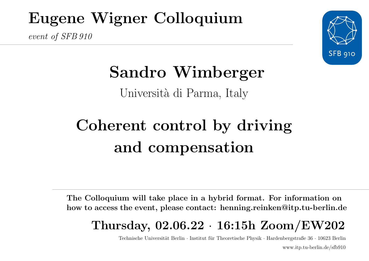## Eugene Wigner Colloquium

 $\mathcal{L}=\{x\in\mathcal{L}^n:\mathcal{L}^n\rightarrow\mathcal{L}^n:\mathcal{L}^n\rightarrow\mathcal{L}^n:\mathcal{L}^n\rightarrow\mathcal{L}^n:\mathcal{L}^n\rightarrow\mathcal{L}^n:\mathcal{L}^n\rightarrow\mathcal{L}^n:\mathcal{L}^n\rightarrow\mathcal{L}^n:\mathcal{L}^n\rightarrow\mathcal{L}^n:\mathcal{L}^n\rightarrow\mathcal{L}^n:\mathcal{L}^n\rightarrow\mathcal{L}^n:\mathcal{L}^n\rightarrow\mathcal{L}^n:\mathcal{L}^n\rightarrow\mathcal{L}^n:\mathcal$ 

event of SFB 910



# Sandro Wimberger

Università di Parma, Italy

# Coherent control by driving and compensation

The Colloquium will take place in a hybrid format. For information on how to access the event, please contact: henning.reinken@itp.tu-berlin.de

### Thursday, 02.06.22 · 16:15h Zoom/EW202

—————————————————————————————————————————————————————————————————-

Technische Universität Berlin · Institut für Theoretische Physik · Hardenbergstraße  $36 \cdot 10623$  Berlin www.itp.tu-berlin.de/sfb910